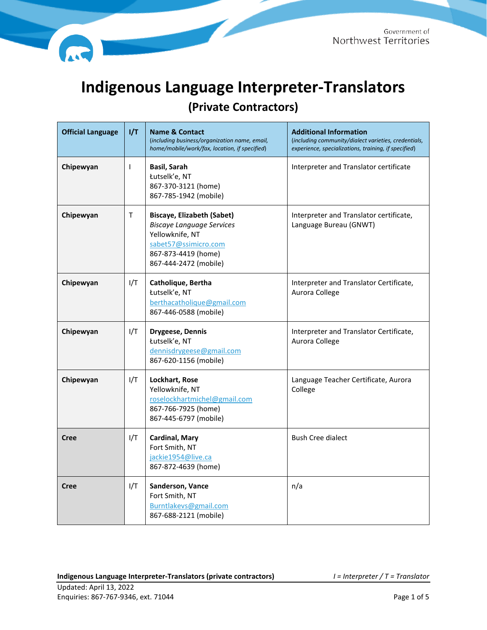

## **Indigenous Language Interpreter-Translators**

**(Private Contractors)**

| <b>Official Language</b> | I/T          | <b>Name &amp; Contact</b><br>(including business/organization name, email,<br>home/mobile/work/fax, location, if specified)                                      | <b>Additional Information</b><br>(including community/dialect varieties, credentials,<br>experience, specializations, training, if specified) |
|--------------------------|--------------|------------------------------------------------------------------------------------------------------------------------------------------------------------------|-----------------------------------------------------------------------------------------------------------------------------------------------|
| Chipewyan                | ı            | <b>Basil, Sarah</b><br>Łutselk'e, NT<br>867-370-3121 (home)<br>867-785-1942 (mobile)                                                                             | Interpreter and Translator certificate                                                                                                        |
| Chipewyan                | $\mathsf{T}$ | <b>Biscaye, Elizabeth (Sabet)</b><br><b>Biscaye Language Services</b><br>Yellowknife, NT<br>sabet57@ssimicro.com<br>867-873-4419 (home)<br>867-444-2472 (mobile) | Interpreter and Translator certificate,<br>Language Bureau (GNWT)                                                                             |
| Chipewyan                | I/T          | Catholique, Bertha<br>Łutselk'e, NT<br>berthacatholique@gmail.com<br>867-446-0588 (mobile)                                                                       | Interpreter and Translator Certificate,<br>Aurora College                                                                                     |
| Chipewyan                | I/T          | Drygeese, Dennis<br>Łutselk'e, NT<br>dennisdrygeese@gmail.com<br>867-620-1156 (mobile)                                                                           | Interpreter and Translator Certificate,<br>Aurora College                                                                                     |
| Chipewyan                | I/T          | Lockhart, Rose<br>Yellowknife, NT<br>roselockhartmichel@gmail.com<br>867-766-7925 (home)<br>867-445-6797 (mobile)                                                | Language Teacher Certificate, Aurora<br>College                                                                                               |
| <b>Cree</b>              | I/T          | <b>Cardinal, Mary</b><br>Fort Smith, NT<br>jackie1954@live.ca<br>867-872-4639 (home)                                                                             | <b>Bush Cree dialect</b>                                                                                                                      |
| <b>Cree</b>              | I/T          | Sanderson, Vance<br>Fort Smith, NT<br>Burntlakevs@gmail.com<br>867-688-2121 (mobile)                                                                             | n/a                                                                                                                                           |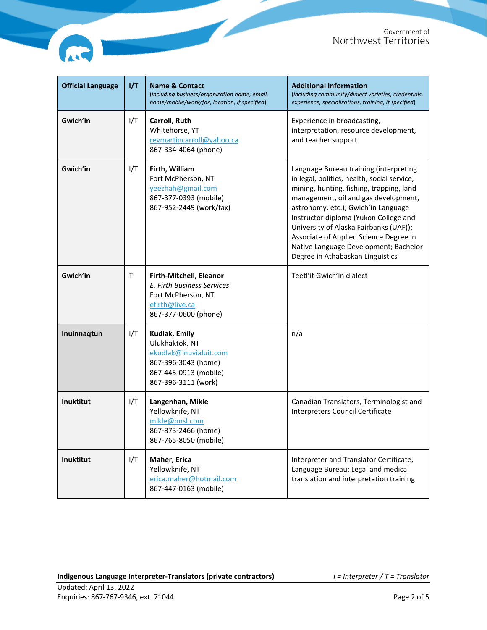

e e

| <b>Official Language</b> | I/T | <b>Name &amp; Contact</b><br>(including business/organization name, email,<br>home/mobile/work/fax, location, if specified)      | <b>Additional Information</b><br>(including community/dialect varieties, credentials,<br>experience, specializations, training, if specified)                                                                                                                                                                                                                                                                              |
|--------------------------|-----|----------------------------------------------------------------------------------------------------------------------------------|----------------------------------------------------------------------------------------------------------------------------------------------------------------------------------------------------------------------------------------------------------------------------------------------------------------------------------------------------------------------------------------------------------------------------|
| Gwich'in                 | I/T | Carroll, Ruth<br>Whitehorse, YT<br>revmartincarroll@yahoo.ca<br>867-334-4064 (phone)                                             | Experience in broadcasting,<br>interpretation, resource development,<br>and teacher support                                                                                                                                                                                                                                                                                                                                |
| Gwich'in                 | I/T | Firth, William<br>Fort McPherson, NT<br>yeezhah@gmail.com<br>867-377-0393 (mobile)<br>867-952-2449 (work/fax)                    | Language Bureau training (interpreting<br>in legal, politics, health, social service,<br>mining, hunting, fishing, trapping, land<br>management, oil and gas development,<br>astronomy, etc.); Gwich'in Language<br>Instructor diploma (Yukon College and<br>University of Alaska Fairbanks (UAF));<br>Associate of Applied Science Degree in<br>Native Language Development; Bachelor<br>Degree in Athabaskan Linguistics |
| Gwich'in                 | т   | Firth-Mitchell, Eleanor<br>E. Firth Business Services<br>Fort McPherson, NT<br>efirth@live.ca<br>867-377-0600 (phone)            | Teetl'it Gwich'in dialect                                                                                                                                                                                                                                                                                                                                                                                                  |
| Inuinnaqtun              | I/T | Kudlak, Emily<br>Ulukhaktok, NT<br>ekudlak@inuvialuit.com<br>867-396-3043 (home)<br>867-445-0913 (mobile)<br>867-396-3111 (work) | n/a                                                                                                                                                                                                                                                                                                                                                                                                                        |
| Inuktitut                | I/T | Langenhan, Mikle<br>Yellowknife, NT<br>mikle@nnsl.com<br>867-873-2466 (home)<br>867-765-8050 (mobile)                            | Canadian Translators, Terminologist and<br>Interpreters Council Certificate                                                                                                                                                                                                                                                                                                                                                |
| Inuktitut                | I/T | Maher, Erica<br>Yellowknife, NT<br>erica.maher@hotmail.com<br>867-447-0163 (mobile)                                              | Interpreter and Translator Certificate,<br>Language Bureau; Legal and medical<br>translation and interpretation training                                                                                                                                                                                                                                                                                                   |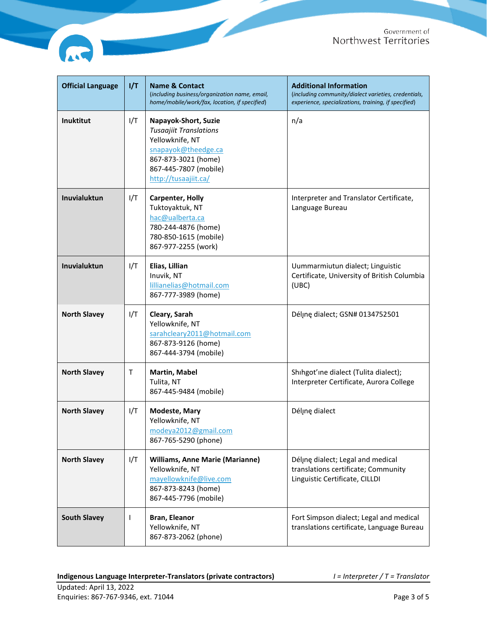

| <b>Official Language</b> | 1/T | <b>Name &amp; Contact</b><br>(including business/organization name, email,<br>home/mobile/work/fax, location, if specified)                                             | <b>Additional Information</b><br>(including community/dialect varieties, credentials,<br>experience, specializations, training, if specified) |
|--------------------------|-----|-------------------------------------------------------------------------------------------------------------------------------------------------------------------------|-----------------------------------------------------------------------------------------------------------------------------------------------|
| Inuktitut                | I/T | Napayok-Short, Suzie<br><b>Tusaajiit Translations</b><br>Yellowknife, NT<br>snapayok@theedge.ca<br>867-873-3021 (home)<br>867-445-7807 (mobile)<br>http://tusaajiit.ca/ | n/a                                                                                                                                           |
| Inuvialuktun             | I/T | <b>Carpenter, Holly</b><br>Tuktoyaktuk, NT<br>hac@ualberta.ca<br>780-244-4876 (home)<br>780-850-1615 (mobile)<br>867-977-2255 (work)                                    | Interpreter and Translator Certificate,<br>Language Bureau                                                                                    |
| <b>Inuvialuktun</b>      | I/T | Elias, Lillian<br>Inuvik, NT<br>lillianelias@hotmail.com<br>867-777-3989 (home)                                                                                         | Uummarmiutun dialect; Linguistic<br>Certificate, University of British Columbia<br>(UBC)                                                      |
| <b>North Slavey</b>      | I/T | Cleary, Sarah<br>Yellowknife, NT<br>sarahcleary2011@hotmail.com<br>867-873-9126 (home)<br>867-444-3794 (mobile)                                                         | Délįnę dialect; GSN# 0134752501                                                                                                               |
| <b>North Slavey</b>      | т   | <b>Martin, Mabel</b><br>Tulita, NT<br>867-445-9484 (mobile)                                                                                                             | Shihgot'ine dialect (Tulita dialect);<br>Interpreter Certificate, Aurora College                                                              |
| <b>North Slavey</b>      | I/T | <b>Modeste, Mary</b><br>Yellowknife, NT<br>modeya2012@gmail.com<br>867-765-5290 (phone)                                                                                 | Déljne dialect                                                                                                                                |
| <b>North Slavey</b>      | I/T | <b>Williams, Anne Marie (Marianne)</b><br>Yellowknife, NT<br>mayellowknife@live.com<br>867-873-8243 (home)<br>867-445-7796 (mobile)                                     | Délįnę dialect; Legal and medical<br>translations certificate; Community<br>Linguistic Certificate, CILLDI                                    |
| <b>South Slavey</b>      | ı   | Bran, Eleanor<br>Yellowknife, NT<br>867-873-2062 (phone)                                                                                                                | Fort Simpson dialect; Legal and medical<br>translations certificate, Language Bureau                                                          |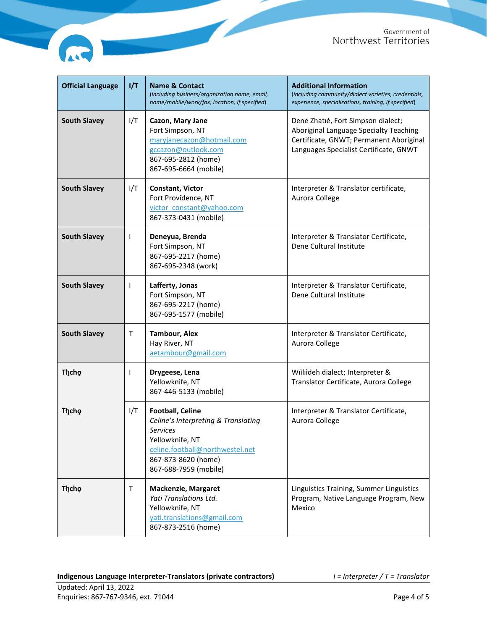

| <b>Official Language</b> | 1/T | <b>Name &amp; Contact</b><br>(including business/organization name, email,<br>home/mobile/work/fax, location, if specified)                                                             | <b>Additional Information</b><br>(including community/dialect varieties, credentials,<br>experience, specializations, training, if specified)                     |
|--------------------------|-----|-----------------------------------------------------------------------------------------------------------------------------------------------------------------------------------------|-------------------------------------------------------------------------------------------------------------------------------------------------------------------|
| <b>South Slavey</b>      | I/T | Cazon, Mary Jane<br>Fort Simpson, NT<br>maryjanecazon@hotmail.com<br>gccazon@outlook.com<br>867-695-2812 (home)<br>867-695-6664 (mobile)                                                | Dene Zhatié, Fort Simpson dialect;<br>Aboriginal Language Specialty Teaching<br>Certificate, GNWT; Permanent Aboriginal<br>Languages Specialist Certificate, GNWT |
| <b>South Slavey</b>      | I/T | <b>Constant, Victor</b><br>Fort Providence, NT<br>victor constant@yahoo.com<br>867-373-0431 (mobile)                                                                                    | Interpreter & Translator certificate,<br>Aurora College                                                                                                           |
| <b>South Slavey</b>      | ı   | Deneyua, Brenda<br>Fort Simpson, NT<br>867-695-2217 (home)<br>867-695-2348 (work)                                                                                                       | Interpreter & Translator Certificate,<br>Dene Cultural Institute                                                                                                  |
| <b>South Slavey</b>      | ı   | Lafferty, Jonas<br>Fort Simpson, NT<br>867-695-2217 (home)<br>867-695-1577 (mobile)                                                                                                     | Interpreter & Translator Certificate,<br>Dene Cultural Institute                                                                                                  |
| <b>South Slavey</b>      | т   | <b>Tambour, Alex</b><br>Hay River, NT<br>aetambour@gmail.com                                                                                                                            | Interpreter & Translator Certificate,<br>Aurora College                                                                                                           |
| <b>Tłjcho</b>            | ı   | Drygeese, Lena<br>Yellowknife, NT<br>867-446-5133 (mobile)                                                                                                                              | Willideh dialect; Interpreter &<br>Translator Certificate, Aurora College                                                                                         |
| <b>Tłįcho</b>            | I/T | <b>Football, Celine</b><br>Celine's Interpreting & Translating<br><b>Services</b><br>Yellowknife, NT<br>celine.football@northwestel.net<br>867-873-8620 (home)<br>867-688-7959 (mobile) | Interpreter & Translator Certificate,<br>Aurora College                                                                                                           |
| <b>Thicho</b>            | т   | <b>Mackenzie, Margaret</b><br>Yati Translations Ltd.<br>Yellowknife, NT<br>yati.translations@gmail.com<br>867-873-2516 (home)                                                           | Linguistics Training, Summer Linguistics<br>Program, Native Language Program, New<br>Mexico                                                                       |

**A**